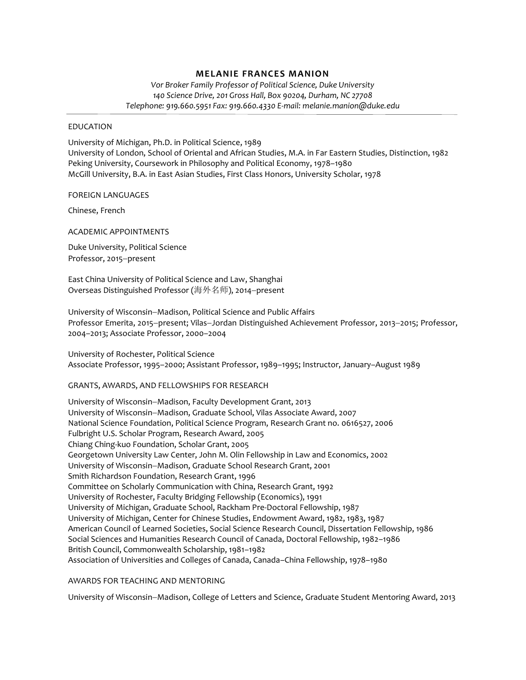# **MELANIE FRANCES MANION**

*Vor Broker Family Professor of Political Science, Duke University 140 Science Drive, 201 Gross Hall, Box 90204, Durham, NC 27708 Telephone: 919.660.5951 Fax: 919.660.4330 E-mail: melanie.manion@duke.edu*

### EDUCATION

University of Michigan, Ph.D. in Political Science, 1989 University of London, School of Oriental and African Studies, M.A. in Far Eastern Studies, Distinction, 1982 Peking University, Coursework in Philosophy and Political Economy, 1978–1980 McGill University, B.A. in East Asian Studies, First Class Honors, University Scholar, 1978

### FOREIGN LANGUAGES

Chinese, French

ACADEMIC APPOINTMENTS

Duke University, Political Science Professor, 2015-present

East China University of Political Science and Law, Shanghai Overseas Distinguished Professor (海外名师), 2014-present

University of Wisconsin-Madison, Political Science and Public Affairs Professor Emerita, 2015-present; Vilas-Jordan Distinguished Achievement Professor, 2013-2015; Professor, 2004–2013; Associate Professor, 2000–2004

University of Rochester, Political Science Associate Professor, 1995–2000; Assistant Professor, 1989–1995; Instructor, January–August 1989

### GRANTS, AWARDS, AND FELLOWSHIPS FOR RESEARCH

University of Wisconsin-Madison, Faculty Development Grant, 2013 University of Wisconsin-Madison, Graduate School, Vilas Associate Award, 2007 National Science Foundation, Political Science Program, Research Grant no. 0616527, 2006 Fulbright U.S. Scholar Program, Research Award, 2005 Chiang Ching-kuo Foundation, Scholar Grant, 2005 Georgetown University Law Center, John M. Olin Fellowship in Law and Economics, 2002 University of Wisconsin-Madison, Graduate School Research Grant, 2001 Smith Richardson Foundation, Research Grant, 1996 Committee on Scholarly Communication with China, Research Grant, 1992 University of Rochester, Faculty Bridging Fellowship (Economics), 1991 University of Michigan, Graduate School, Rackham Pre-Doctoral Fellowship, 1987 University of Michigan, Center for Chinese Studies, Endowment Award, 1982, 1983, 1987 American Council of Learned Societies, Social Science Research Council, Dissertation Fellowship, 1986 Social Sciences and Humanities Research Council of Canada, Doctoral Fellowship, 1982–1986 British Council, Commonwealth Scholarship, 1981–1982 Association of Universities and Colleges of Canada, Canada–China Fellowship, 1978–1980

# AWARDS FOR TEACHING AND MENTORING

University of Wisconsin-Madison, College of Letters and Science, Graduate Student Mentoring Award, 2013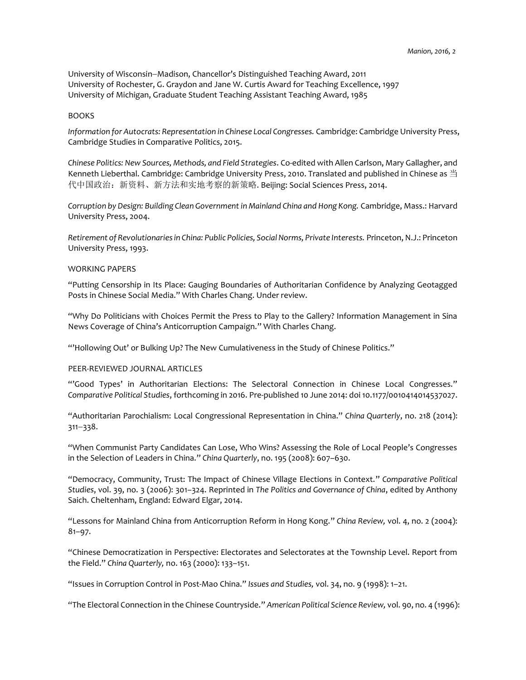University of Wisconsin-Madison, Chancellor's Distinguished Teaching Award, 2011 University of Rochester, G. Graydon and Jane W. Curtis Award for Teaching Excellence, 1997 University of Michigan, Graduate Student Teaching Assistant Teaching Award, 1985

### **BOOKS**

*Information for Autocrats: Representation in Chinese Local Congresses.* Cambridge: Cambridge University Press, Cambridge Studies in Comparative Politics, 2015.

*Chinese Politics: New Sources, Methods, and Field Strategies*. Co-edited with Allen Carlson, Mary Gallagher, and Kenneth Lieberthal. Cambridge: Cambridge University Press, 2010. Translated and published in Chinese as 当 代中国政治:新资料、新方法和实地考察的新策略. Beijing: Social Sciences Press, 2014.

*Corruption by Design: Building Clean Government in Mainland China and Hong Kong.* Cambridge, Mass.: Harvard University Press, 2004.

*Retirement of Revolutionaries in China: Public Policies, Social Norms, Private Interests.* Princeton, N.J.: Princeton University Press, 1993.

### WORKING PAPERS

"Putting Censorship in Its Place: Gauging Boundaries of Authoritarian Confidence by Analyzing Geotagged Posts in Chinese Social Media." With Charles Chang. Under review.

"Why Do Politicians with Choices Permit the Press to Play to the Gallery? Information Management in Sina News Coverage of China's Anticorruption Campaign." With Charles Chang.

"'Hollowing Out' or Bulking Up? The New Cumulativeness in the Study of Chinese Politics."

## PEER-REVIEWED JOURNAL ARTICLES

"'Good Types' in Authoritarian Elections: The Selectoral Connection in Chinese Local Congresses." *Comparative Political Studies*, forthcoming in 2016. Pre-published 10 June 2014: doi 10.1177/0010414014537027.

"Authoritarian Parochialism: Local Congressional Representation in China." *China Quarterly*, no. 218 (2014):  $311 - 338.$ 

"When Communist Party Candidates Can Lose, Who Wins? Assessing the Role of Local People's Congresses in the Selection of Leaders in China." *China Quarterly*, no. 195 (2008): 607–630.

"Democracy, Community, Trust: The Impact of Chinese Village Elections in Context." *Comparative Political Studies*, vol. 39, no. 3 (2006): 301–324. Reprinted in *The Politics and Governance of China*, edited by Anthony Saich. Cheltenham, England: Edward Elgar, 2014.

"Lessons for Mainland China from Anticorruption Reform in Hong Kong." *China Review,* vol. 4, no. 2 (2004): 81–97.

"Chinese Democratization in Perspective: Electorates and Selectorates at the Township Level. Report from the Field." *China Quarterly,* no. 163 (2000): 133–151.

"Issues in Corruption Control in Post-Mao China." *Issues and Studies,* vol. 34, no. 9 (1998): 1–21.

"The Electoral Connection in the Chinese Countryside." *American Political Science Review,* vol. 90, no. 4 (1996):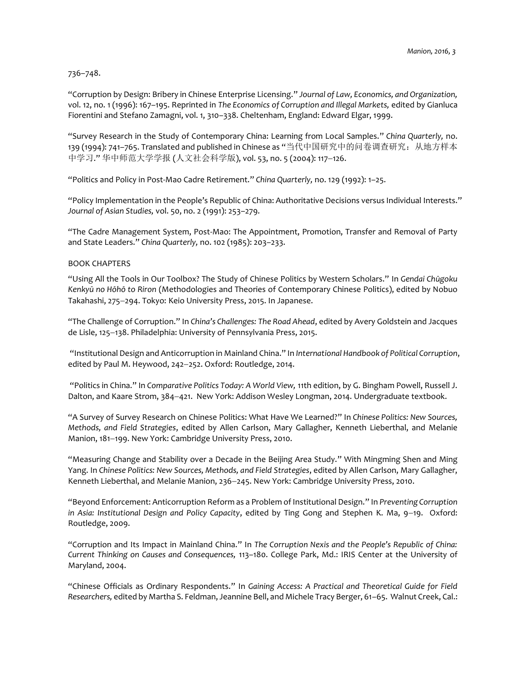736–748.

"Corruption by Design: Bribery in Chinese Enterprise Licensing." *Journal of Law, Economics, and Organization,* vol. 12, no. 1 (1996): 167–195. Reprinted in *The Economics of Corruption and Illegal Markets,* edited by Gianluca Fiorentini and Stefano Zamagni, vol. 1, 310–338. Cheltenham, England: Edward Elgar, 1999.

"Survey Research in the Study of Contemporary China: Learning from Local Samples." *China Quarterly,* no. 139 (1994): 741–765. Translated and published in Chinese as "当代中国研究中的问卷调查研究:从地方样本 中学习." 华中师范大学学报 (人文社会科学版), vol. 53, no. 5 (2004): 117-126.

"Politics and Policy in Post-Mao Cadre Retirement." *China Quarterly,* no. 129 (1992): 1–25.

"Policy Implementation in the People's Republic of China: Authoritative Decisions versus Individual Interests." *Journal of Asian Studies,* vol. 50, no. 2 (1991): 253–279.

"The Cadre Management System, Post-Mao: The Appointment, Promotion, Transfer and Removal of Party and State Leaders." *China Quarterly,* no. 102 (1985): 203–233.

### BOOK CHAPTERS

"Using All the Tools in Our Toolbox? The Study of Chinese Politics by Western Scholars." In *Gendai Chūgoku Kenkyū no Hōhō to Riron* (Methodologies and Theories of Contemporary Chinese Politics), edited by Nobuo Takahashi, 275-294. Tokyo: Keio University Press, 2015. In Japanese.

"The Challenge of Corruption." In *China's Challenges: The Road Ahead*, edited by Avery Goldstein and Jacques de Lisle, 125-138. Philadelphia: University of Pennsylvania Press, 2015.

"Institutional Design and Anticorruption in Mainland China." In *International Handbook of Political Corruption*, edited by Paul M. Heywood, 242-252. Oxford: Routledge, 2014.

"Politics in China." In *Comparative Politics Today: A World View,* 11th edition, by G. Bingham Powell, Russell J. Dalton, and Kaare Strom, 384–421. New York: Addison Wesley Longman, 2014. Undergraduate textbook.

"A Survey of Survey Research on Chinese Politics: What Have We Learned?" In *Chinese Politics: New Sources, Methods, and Field Strategies*, edited by Allen Carlson, Mary Gallagher, Kenneth Lieberthal, and Melanie Manion, 181-199. New York: Cambridge University Press, 2010.

"Measuring Change and Stability over a Decade in the Beijing Area Study." With Mingming Shen and Ming Yang. In *Chinese Politics: New Sources, Methods, and Field Strategies*, edited by Allen Carlson, Mary Gallagher, Kenneth Lieberthal, and Melanie Manion, 236-245. New York: Cambridge University Press, 2010.

"Beyond Enforcement: Anticorruption Reform as a Problem of Institutional Design." In *Preventing Corruption in Asia: Institutional Design and Policy Capacity, edited by Ting Gong and Stephen K. Ma, 9-19. Oxford:* Routledge, 2009.

"Corruption and Its Impact in Mainland China." In *The Corruption Nexis and the People's Republic of China: Current Thinking on Causes and Consequences,* 113–180. College Park, Md.: IRIS Center at the University of Maryland, 2004.

"Chinese Officials as Ordinary Respondents." In *Gaining Access: A Practical and Theoretical Guide for Field Researchers,* edited by Martha S. Feldman, Jeannine Bell, and Michele Tracy Berger, 61–65. Walnut Creek, Cal.: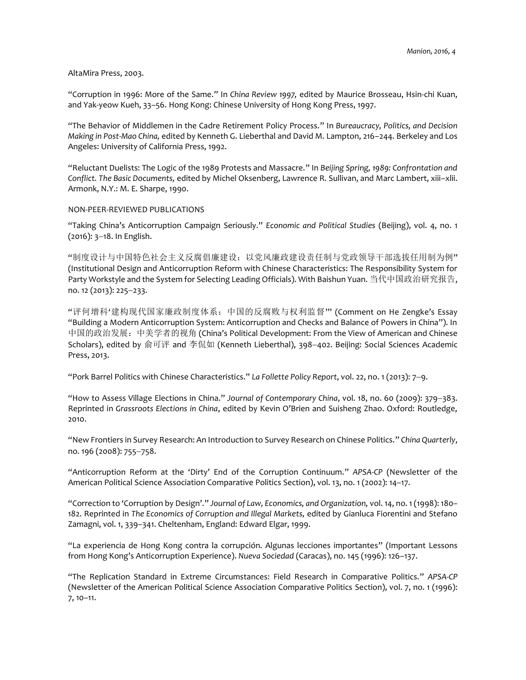#### AltaMira Press, 2003.

"Corruption in 1996: More of the Same." In *China Review 1997,* edited by Maurice Brosseau, Hsin-chi Kuan, and Yak-yeow Kueh, 33–56. Hong Kong: Chinese University of Hong Kong Press, 1997.

"The Behavior of Middlemen in the Cadre Retirement Policy Process." In *Bureaucracy, Politics, and Decision Making in Post-Mao China,* edited by Kenneth G. Lieberthal and David M. Lampton, 216–244. Berkeley and Los Angeles: University of California Press, 1992.

"Reluctant Duelists: The Logic of the 1989 Protests and Massacre." In *Beijing Spring, 1989: Confrontation and Conflict. The Basic Documents,* edited by Michel Oksenberg, Lawrence R. Sullivan, and Marc Lambert, xiii–xlii. Armonk, N.Y.: M. E. Sharpe, 1990.

### NON-PEER-REVIEWED PUBLICATIONS

"Taking China's Anticorruption Campaign Seriously." *Economic and Political Studies* (Beijing), vol. 4, no. 1  $(2016)$ :  $3-18$ . In English.

"制度设计与中国特色社会主义反腐倡廉建设:以党风廉政建设责任制与党政领导干部选拔任用制为例" (Institutional Design and Anticorruption Reform with Chinese Characteristics: The Responsibility System for Party Workstyle and the System for Selecting Leading Officials). With Baishun Yuan. 当代中国政治研究报告, no. 12 (2013): 225-233.

"评何增科'建构现代国家廉政制度体系:中国的反腐败与权利监督'" (Comment on He Zengke's Essay "Building a Modern Anticorruption System: Anticorruption and Checks and Balance of Powers in China"). In 中国的政治发展:中美学者的视角 (China's Political Development: From the View of American and Chinese Scholars), edited by 俞可评 and 李侃如 (Kenneth Lieberthal), 398-402. Beijing: Social Sciences Academic Press, 2013.

"Pork Barrel Politics with Chinese Characteristics." *La Follette Policy Report*, vol. 22, no. 1 (2013): 79.

"How to Assess Village Elections in China." *Journal of Contemporary China*, vol. 18, no. 60 (2009): 379–383. Reprinted in *Grassroots Elections in China*, edited by Kevin O'Brien and Suisheng Zhao. Oxford: Routledge, 2010.

"New Frontiers in Survey Research: An Introduction to Survey Research on Chinese Politics." *China Quarterly*, no. 196 (2008): 755-758.

"Anticorruption Reform at the 'Dirty' End of the Corruption Continuum." *APSA-CP* (Newsletter of the American Political Science Association Comparative Politics Section), vol. 13, no. 1 (2002): 14–17.

"Correction to 'Corruption by Design'." *Journal of Law, Economics, and Organization,* vol. 14, no. 1 (1998): 180– 182. Reprinted in *The Economics of Corruption and Illegal Markets,* edited by Gianluca Fiorentini and Stefano Zamagni, vol. 1, 339–341. Cheltenham, England: Edward Elgar, 1999.

"La experiencia de Hong Kong contra la corrupción. Algunas lecciones importantes" (Important Lessons from Hong Kong's Anticorruption Experience). *Nueva Sociedad* (Caracas), no. 145 (1996): 126–137.

"The Replication Standard in Extreme Circumstances: Field Research in Comparative Politics." *APSA-CP*  (Newsletter of the American Political Science Association Comparative Politics Section), vol. 7, no. 1 (1996): 7, 10–11.